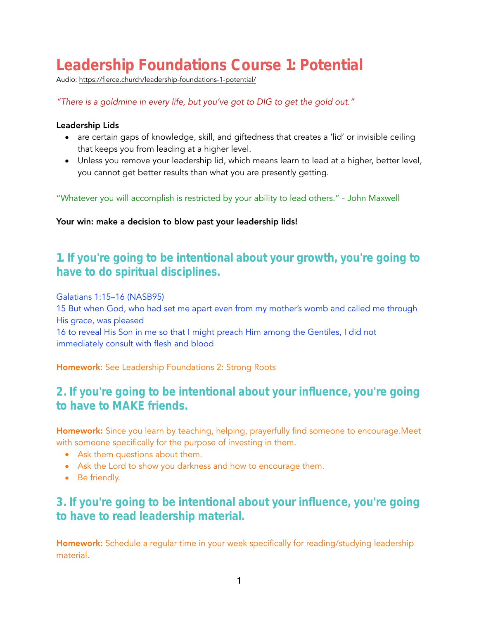# **Leadership Foundations Course 1: Potential**

Audio:<https://fierce.church/leadership-foundations-1-potential/>

*"There is a goldmine in every life, but you've got to DIG to get the gold out."*

#### Leadership Lids

- are certain gaps of knowledge, skill, and giftedness that creates a 'lid' or invisible ceiling that keeps you from leading at a higher level.
- Unless you remove your leadership lid, which means learn to lead at a higher, better level, you cannot get better results than what you are presently getting.

"Whatever you will accomplish is restricted by your ability to lead others." - John Maxwell

Your win: make a decision to blow past your leadership lids!

## **1. If you're going to be intentional about your growth, you're going to have to do spiritual disciplines.**

Galatians 1:15–16 (NASB95)

15 But when God, who had set me apart even from my mother's womb and called me through His grace, was pleased

16 to reveal His Son in me so that I might preach Him among the Gentiles, I did not immediately consult with flesh and blood

Homework: See Leadership Foundations 2: Strong Roots

### **2. If you're going to be intentional about your influence, you're going to have to MAKE friends.**

Homework: Since you learn by teaching, helping, prayerfully find someone to encourage. Meet with someone specifically for the purpose of investing in them.

- Ask them questions about them.
- Ask the Lord to show you darkness and how to encourage them.
- Be friendly.

### **3. If you're going to be intentional about your influence, you're going to have to read leadership material.**

Homework: Schedule a regular time in your week specifically for reading/studying leadership material.